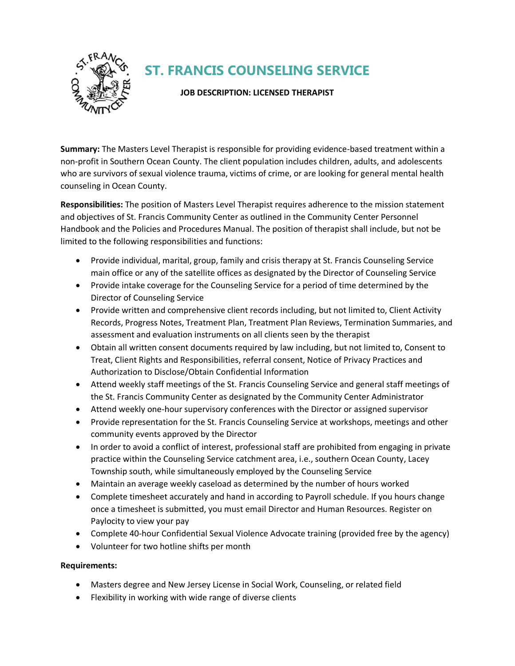

## **ST. FRANCIS COUNSELING SERVICE**

## **JOB DESCRIPTION: LICENSED THERAPIST**

**Summary:** The Masters Level Therapist is responsible for providing evidence-based treatment within a non-profit in Southern Ocean County. The client population includes children, adults, and adolescents who are survivors of sexual violence trauma, victims of crime, or are looking for general mental health counseling in Ocean County.

**Responsibilities:** The position of Masters Level Therapist requires adherence to the mission statement and objectives of St. Francis Community Center as outlined in the Community Center Personnel Handbook and the Policies and Procedures Manual. The position of therapist shall include, but not be limited to the following responsibilities and functions:

- Provide individual, marital, group, family and crisis therapy at St. Francis Counseling Service main office or any of the satellite offices as designated by the Director of Counseling Service
- Provide intake coverage for the Counseling Service for a period of time determined by the Director of Counseling Service
- Provide written and comprehensive client records including, but not limited to, Client Activity Records, Progress Notes, Treatment Plan, Treatment Plan Reviews, Termination Summaries, and assessment and evaluation instruments on all clients seen by the therapist
- Obtain all written consent documents required by law including, but not limited to, Consent to Treat, Client Rights and Responsibilities, referral consent, Notice of Privacy Practices and Authorization to Disclose/Obtain Confidential Information
- Attend weekly staff meetings of the St. Francis Counseling Service and general staff meetings of the St. Francis Community Center as designated by the Community Center Administrator
- Attend weekly one-hour supervisory conferences with the Director or assigned supervisor
- Provide representation for the St. Francis Counseling Service at workshops, meetings and other community events approved by the Director
- In order to avoid a conflict of interest, professional staff are prohibited from engaging in private practice within the Counseling Service catchment area, i.e., southern Ocean County, Lacey Township south, while simultaneously employed by the Counseling Service
- Maintain an average weekly caseload as determined by the number of hours worked
- Complete timesheet accurately and hand in according to Payroll schedule. If you hours change once a timesheet is submitted, you must email Director and Human Resources. Register on Paylocity to view your pay
- Complete 40-hour Confidential Sexual Violence Advocate training (provided free by the agency)
- Volunteer for two hotline shifts per month

## **Requirements:**

- Masters degree and New Jersey License in Social Work, Counseling, or related field
- Flexibility in working with wide range of diverse clients